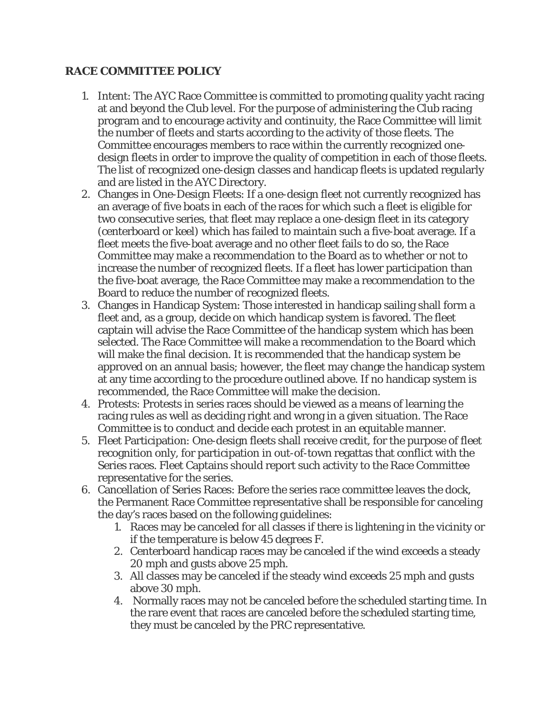## **RACE COMMITTEE POLICY**

- 1. Intent: The AYC Race Committee is committed to promoting quality yacht racing at and beyond the Club level. For the purpose of administering the Club racing program and to encourage activity and continuity, the Race Committee will limit the number of fleets and starts according to the activity of those fleets. The Committee encourages members to race within the currently recognized onedesign fleets in order to improve the quality of competition in each of those fleets. The list of recognized one-design classes and handicap fleets is updated regularly and are listed in the AYC Directory.
- 2. Changes in One-Design Fleets: If a one-design fleet not currently recognized has an average of five boats in each of the races for which such a fleet is eligible for two consecutive series, that fleet may replace a one-design fleet in its category (centerboard or keel) which has failed to maintain such a five-boat average. If a fleet meets the five-boat average and no other fleet fails to do so, the Race Committee may make a recommendation to the Board as to whether or not to increase the number of recognized fleets. If a fleet has lower participation than the five-boat average, the Race Committee may make a recommendation to the Board to reduce the number of recognized fleets.
- 3. Changes in Handicap System: Those interested in handicap sailing shall form a fleet and, as a group, decide on which handicap system is favored. The fleet captain will advise the Race Committee of the handicap system which has been selected. The Race Committee will make a recommendation to the Board which will make the final decision. It is recommended that the handicap system be approved on an annual basis; however, the fleet may change the handicap system at any time according to the procedure outlined above. If no handicap system is recommended, the Race Committee will make the decision.
- 4. Protests: Protests in series races should be viewed as a means of learning the racing rules as well as deciding right and wrong in a given situation. The Race Committee is to conduct and decide each protest in an equitable manner.
- 5. Fleet Participation: One-design fleets shall receive credit, for the purpose of fleet recognition only, for participation in out-of-town regattas that conflict with the Series races. Fleet Captains should report such activity to the Race Committee representative for the series.
- 6. Cancellation of Series Races: Before the series race committee leaves the dock, the Permanent Race Committee representative shall be responsible for canceling the day's races based on the following guidelines:
	- 1. Races may be canceled for all classes if there is lightening in the vicinity or if the temperature is below 45 degrees F.
	- 2. Centerboard handicap races may be canceled if the wind exceeds a steady 20 mph and gusts above 25 mph.
	- 3. All classes may be canceled if the steady wind exceeds 25 mph and gusts above 30 mph.
	- 4. Normally races may not be canceled before the scheduled starting time. In the rare event that races are canceled before the scheduled starting time, they must be canceled by the PRC representative.